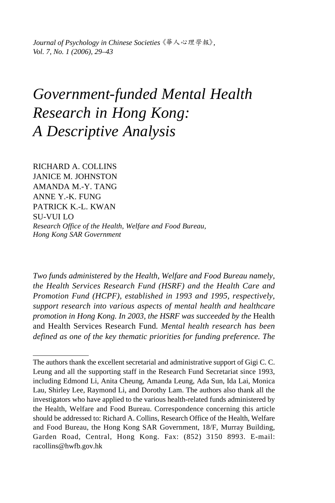*Journal of Psychology in Chinese Societies*《華人心理學報》, *Vol. 7, No. 1 (2006), 29–43* 

# *Government-funded Mental Health Research in Hong Kong: A Descriptive Analysis*

RICHARD A. COLLINS JANICE M. JOHNSTON AMANDA M.-Y. TANG ANNE Y.-K. FUNG PATRICK K.-L. KWAN SU-VUI LO *Research Office of the Health, Welfare and Food Bureau, Hong Kong SAR Government* 

*Two funds administered by the Health, Welfare and Food Bureau namely, the Health Services Research Fund (HSRF) and the Health Care and Promotion Fund (HCPF), established in 1993 and 1995, respectively, support research into various aspects of mental health and healthcare promotion in Hong Kong. In 2003, the HSRF was succeeded by the* Health and Health Services Research Fund*. Mental health research has been defined as one of the key thematic priorities for funding preference. The* 

The authors thank the excellent secretarial and administrative support of Gigi C. C. Leung and all the supporting staff in the Research Fund Secretariat since 1993, including Edmond Li, Anita Cheung, Amanda Leung, Ada Sun, Ida Lai, Monica Lau, Shirley Lee, Raymond Li, and Dorothy Lam. The authors also thank all the investigators who have applied to the various health-related funds administered by the Health, Welfare and Food Bureau. Correspondence concerning this article should be addressed to: Richard A. Collins, Research Office of the Health, Welfare and Food Bureau, the Hong Kong SAR Government, 18/F, Murray Building, Garden Road, Central, Hong Kong. Fax: (852) 3150 8993. E-mail: racollins@hwfb.gov.hk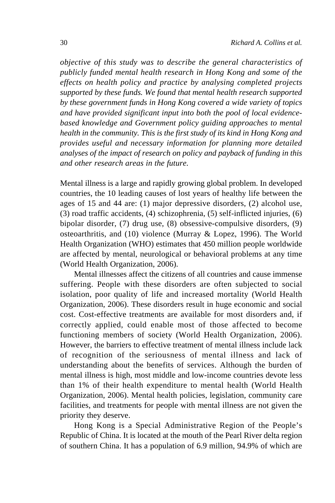*objective of this study was to describe the general characteristics of publicly funded mental health research in Hong Kong and some of the effects on health policy and practice by analysing completed projects supported by these funds. We found that mental health research supported by these government funds in Hong Kong covered a wide variety of topics and have provided significant input into both the pool of local evidencebased knowledge and Government policy guiding approaches to mental health in the community. This is the first study of its kind in Hong Kong and provides useful and necessary information for planning more detailed analyses of the impact of research on policy and payback of funding in this and other research areas in the future.* 

Mental illness is a large and rapidly growing global problem. In developed countries, the 10 leading causes of lost years of healthy life between the ages of 15 and 44 are: (1) major depressive disorders, (2) alcohol use, (3) road traffic accidents, (4) schizophrenia, (5) self-inflicted injuries, (6) bipolar disorder, (7) drug use, (8) obsessive-compulsive disorders, (9) osteoarthritis, and (10) violence (Murray & Lopez, 1996). The World Health Organization (WHO) estimates that 450 million people worldwide are affected by mental, neurological or behavioral problems at any time (World Health Organization, 2006).

Mental illnesses affect the citizens of all countries and cause immense suffering. People with these disorders are often subjected to social isolation, poor quality of life and increased mortality (World Health Organization, 2006). These disorders result in huge economic and social cost. Cost-effective treatments are available for most disorders and, if correctly applied, could enable most of those affected to become functioning members of society (World Health Organization, 2006). However, the barriers to effective treatment of mental illness include lack of recognition of the seriousness of mental illness and lack of understanding about the benefits of services. Although the burden of mental illness is high, most middle and low-income countries devote less than 1% of their health expenditure to mental health (World Health Organization, 2006). Mental health policies, legislation, community care facilities, and treatments for people with mental illness are not given the priority they deserve.

Hong Kong is a Special Administrative Region of the People's Republic of China. It is located at the mouth of the Pearl River delta region of southern China. It has a population of 6.9 million, 94.9% of which are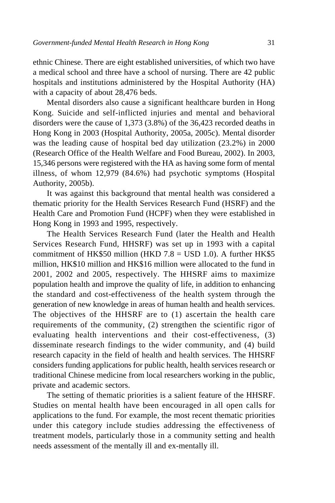ethnic Chinese. There are eight established universities, of which two have a medical school and three have a school of nursing. There are 42 public hospitals and institutions administered by the Hospital Authority (HA) with a capacity of about 28,476 beds.

Mental disorders also cause a significant healthcare burden in Hong Kong. Suicide and self-inflicted injuries and mental and behavioral disorders were the cause of 1,373 (3.8%) of the 36,423 recorded deaths in Hong Kong in 2003 (Hospital Authority, 2005a, 2005c). Mental disorder was the leading cause of hospital bed day utilization (23.2%) in 2000 (Research Office of the Health Welfare and Food Bureau, 2002). In 2003, 15,346 persons were registered with the HA as having some form of mental illness, of whom 12,979 (84.6%) had psychotic symptoms (Hospital Authority, 2005b).

It was against this background that mental health was considered a thematic priority for the Health Services Research Fund (HSRF) and the Health Care and Promotion Fund (HCPF) when they were established in Hong Kong in 1993 and 1995, respectively.

The Health Services Research Fund (later the Health and Health Services Research Fund*,* HHSRF) was set up in 1993 with a capital commitment of HK\$50 million (HKD  $7.8 =$  USD 1.0). A further HK\$5 million, HK\$10 million and HK\$16 million were allocated to the fund in 2001, 2002 and 2005, respectively. The HHSRF aims to maximize population health and improve the quality of life, in addition to enhancing the standard and cost-effectiveness of the health system through the generation of new knowledge in areas of human health and health services. The objectives of the HHSRF are to (1) ascertain the health care requirements of the community, (2) strengthen the scientific rigor of evaluating health interventions and their cost-effectiveness, (3) disseminate research findings to the wider community, and (4) build research capacity in the field of health and health services. The HHSRF considers funding applications for public health, health services research or traditional Chinese medicine from local researchers working in the public, private and academic sectors.

The setting of thematic priorities is a salient feature of the HHSRF. Studies on mental health have been encouraged in all open calls for applications to the fund. For example, the most recent thematic priorities under this category include studies addressing the effectiveness of treatment models, particularly those in a community setting and health needs assessment of the mentally ill and ex-mentally ill.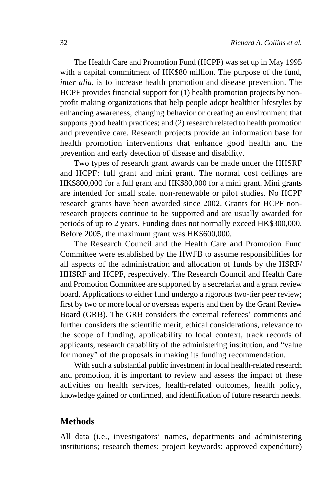The Health Care and Promotion Fund (HCPF) was set up in May 1995 with a capital commitment of HK\$80 million. The purpose of the fund, *inter alia*, is to increase health promotion and disease prevention. The HCPF provides financial support for (1) health promotion projects by nonprofit making organizations that help people adopt healthier lifestyles by enhancing awareness, changing behavior or creating an environment that supports good health practices; and (2) research related to health promotion and preventive care. Research projects provide an information base for health promotion interventions that enhance good health and the prevention and early detection of disease and disability.

Two types of research grant awards can be made under the HHSRF and HCPF: full grant and mini grant. The normal cost ceilings are HK\$800,000 for a full grant and HK\$80,000 for a mini grant. Mini grants are intended for small scale, non-renewable or pilot studies. No HCPF research grants have been awarded since 2002. Grants for HCPF nonresearch projects continue to be supported and are usually awarded for periods of up to 2 years. Funding does not normally exceed HK\$300,000. Before 2005, the maximum grant was HK\$600,000.

The Research Council and the Health Care and Promotion Fund Committee were established by the HWFB to assume responsibilities for all aspects of the administration and allocation of funds by the HSRF/ HHSRF and HCPF, respectively. The Research Council and Health Care and Promotion Committee are supported by a secretariat and a grant review board. Applications to either fund undergo a rigorous two-tier peer review; first by two or more local or overseas experts and then by the Grant Review Board (GRB). The GRB considers the external referees' comments and further considers the scientific merit, ethical considerations, relevance to the scope of funding, applicability to local context, track records of applicants, research capability of the administering institution, and "value for money" of the proposals in making its funding recommendation.

With such a substantial public investment in local health-related research and promotion, it is important to review and assess the impact of these activities on health services, health-related outcomes, health policy, knowledge gained or confirmed, and identification of future research needs.

#### **Methods**

All data (i.e., investigators' names, departments and administering institutions; research themes; project keywords; approved expenditure)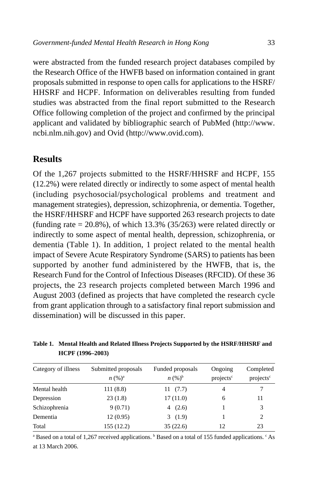were abstracted from the funded research project databases compiled by the Research Office of the HWFB based on information contained in grant proposals submitted in response to open calls for applications to the HSRF/ HHSRF and HCPF. Information on deliverables resulting from funded studies was abstracted from the final report submitted to the Research Office following completion of the project and confirmed by the principal applicant and validated by bibliographic search of PubMed (http://www. ncbi.nlm.nih.gov) and Ovid (http://www.ovid.com).

# **Results**

Of the 1,267 projects submitted to the HSRF/HHSRF and HCPF, 155 (12.2%) were related directly or indirectly to some aspect of mental health (including psychosocial/psychological problems and treatment and management strategies), depression, schizophrenia, or dementia. Together, the HSRF/HHSRF and HCPF have supported 263 research projects to date (funding rate  $= 20.8\%$ ), of which 13.3% (35/263) were related directly or indirectly to some aspect of mental health, depression, schizophrenia, or dementia (Table 1). In addition, 1 project related to the mental health impact of Severe Acute Respiratory Syndrome (SARS) to patients has been supported by another fund administered by the HWFB, that is, the Research Fund for the Control of Infectious Diseases (RFCID). Of these 36 projects, the 23 research projects completed between March 1996 and August 2003 (defined as projects that have completed the research cycle from grant application through to a satisfactory final report submission and dissemination) will be discussed in this paper.

**Table 1. Mental Health and Related Illness Projects Supported by the HSRF/HHSRF and HCPF (1996–2003)** 

| Category of illness | Submitted proposals | Funded proposals | Ongoing               | Completed             |  |
|---------------------|---------------------|------------------|-----------------------|-----------------------|--|
|                     | $n (%)^a$           | $n (%)^b$        | projects <sup>c</sup> | projects <sup>c</sup> |  |
| Mental health       | 111(8.8)            | 11(7.7)          | 4                     |                       |  |
| Depression          | 23(1.8)             | 17(11.0)         | 6                     | 11                    |  |
| Schizophrenia       | 9(0.71)             | 4 $(2.6)$        |                       | 3                     |  |
| Dementia            | 12(0.95)            | 3(1.9)           |                       | $\overline{c}$        |  |
| Total               | 155(12.2)           | 35(22.6)         | 12                    | 23                    |  |

<sup>a</sup> Based on a total of 1,267 received applications.  $\overline{B}$  Based on a total of 155 funded applications.  $\overline{C}$  As at 13 March 2006.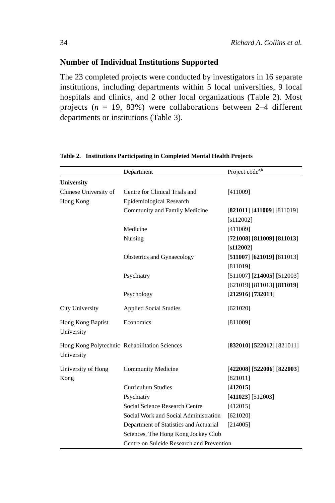# **Number of Individual Institutions Supported**

The 23 completed projects were conducted by investigators in 16 separate institutions, including departments within 5 local universities, 9 local hospitals and clinics, and 2 other local organizations (Table 2). Most projects (*n* = 19, 83%) were collaborations between 2–4 different departments or institutions (Table 3).

|                                               | Department                                | Project code <sup>a,b</sup>  |  |
|-----------------------------------------------|-------------------------------------------|------------------------------|--|
| <b>University</b>                             |                                           |                              |  |
| Chinese University of                         | Centre for Clinical Trials and            | [411009]                     |  |
| Hong Kong                                     | Epidemiological Research                  |                              |  |
|                                               | Community and Family Medicine             | [821011] [411009] [811019]   |  |
|                                               |                                           | [s112002]                    |  |
|                                               | Medicine                                  | [411009]                     |  |
|                                               | Nursing                                   | $[721008]$ [811009] [811013] |  |
|                                               |                                           | [s112002]                    |  |
|                                               | Obstetrics and Gynaecology                | [511007] [621019] [811013]   |  |
|                                               |                                           | [811019]                     |  |
|                                               | Psychiatry                                | $[511007]$ [214005] [512003] |  |
|                                               |                                           | [621019] [811013] [811019]   |  |
|                                               | Psychology                                | $[212916]$ [732013]          |  |
| City University                               | <b>Applied Social Studies</b>             | [621020]                     |  |
| Hong Kong Baptist                             | Economics                                 | [811009]                     |  |
| University                                    |                                           |                              |  |
| Hong Kong Polytechnic Rehabilitation Sciences |                                           | [832010] [522012] [821011]   |  |
| University                                    |                                           |                              |  |
| University of Hong                            | <b>Community Medicine</b>                 | [422008] [522006] [822003]   |  |
| Kong                                          |                                           | [821011]                     |  |
|                                               | <b>Curriculum Studies</b>                 | [412015]                     |  |
|                                               | Psychiatry                                | [411023] [512003]            |  |
|                                               | Social Science Research Centre            | [412015]                     |  |
|                                               | Social Work and Social Administration     | [621020]                     |  |
|                                               | Department of Statistics and Actuarial    | [214005]                     |  |
|                                               | Sciences, The Hong Kong Jockey Club       |                              |  |
|                                               | Centre on Suicide Research and Prevention |                              |  |

**Table 2. Institutions Participating in Completed Mental Health Projects**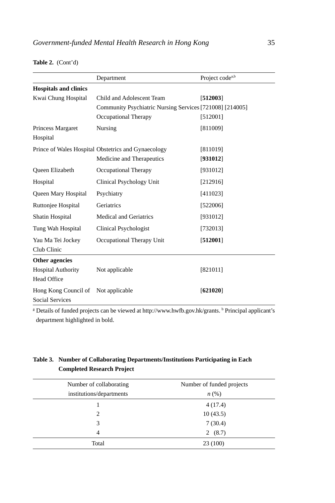|                              | Department                                               | Project code <sup>a,b</sup> |  |  |
|------------------------------|----------------------------------------------------------|-----------------------------|--|--|
| <b>Hospitals and clinics</b> |                                                          |                             |  |  |
| Kwai Chung Hospital          | Child and Adolescent Team                                | [512003]                    |  |  |
|                              | Community Psychiatric Nursing Services [721008] [214005] |                             |  |  |
|                              | Occupational Therapy                                     | [512001]                    |  |  |
| Princess Margaret            | Nursing                                                  | [811009]                    |  |  |
| Hospital                     |                                                          |                             |  |  |
|                              | Prince of Wales Hospital Obstetrics and Gynaecology      | [811019]                    |  |  |
|                              | Medicine and Therapeutics                                | [931012]                    |  |  |
| Queen Elizabeth              | Occupational Therapy                                     | [931012]                    |  |  |
| Hospital                     | Clinical Psychology Unit                                 | [212916]                    |  |  |
| Queen Mary Hospital          | Psychiatry                                               | [411023]                    |  |  |
| Ruttonjee Hospital           | Geriatrics                                               | [522006]                    |  |  |
| Shatin Hospital              | <b>Medical and Geriatrics</b>                            | [931012]                    |  |  |
| Tung Wah Hospital            | Clinical Psychologist                                    | [732013]                    |  |  |
| Yau Ma Tei Jockey            | Occupational Therapy Unit                                | [512001]                    |  |  |
| Club Clinic                  |                                                          |                             |  |  |
| Other agencies               |                                                          |                             |  |  |
| <b>Hospital Authority</b>    | Not applicable                                           | [821011]                    |  |  |
| <b>Head Office</b>           |                                                          |                             |  |  |
| Hong Kong Council of         | Not applicable                                           | [621020]                    |  |  |
| <b>Social Services</b>       |                                                          |                             |  |  |

#### **Table 2.** (Cont'd)

<sup>a</sup> Details of funded projects can be viewed at http://www.hwfb.gov.hk/grants. <sup>b</sup> Principal applicant's department highlighted in bold.

#### **Table 3. Number of Collaborating Departments/Institutions Participating in Each Completed Research Project**

| Number of collaborating  | Number of funded projects |  |
|--------------------------|---------------------------|--|
| institutions/departments | $n\left(\%\right)$        |  |
|                          | 4(17.4)                   |  |
| 2                        | 10(43.5)                  |  |
| 3                        | 7(30.4)                   |  |
| 4                        | 2(8.7)                    |  |
| Total                    | 23 (100)                  |  |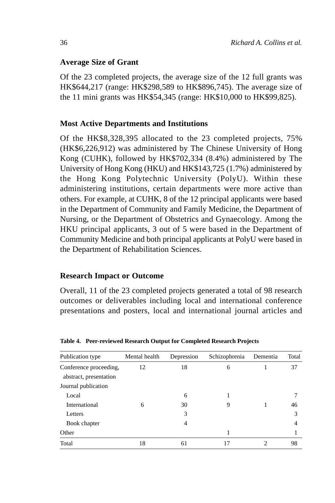# **Average Size of Grant**

Of the 23 completed projects, the average size of the 12 full grants was HK\$644,217 (range: HK\$298,589 to HK\$896,745). The average size of the 11 mini grants was HK\$54,345 (range: HK\$10,000 to HK\$99,825).

# **Most Active Departments and Institutions**

Of the HK\$8,328,395 allocated to the 23 completed projects, 75% (HK\$6,226,912) was administered by The Chinese University of Hong Kong (CUHK), followed by HK\$702,334 (8.4%) administered by The University of Hong Kong (HKU) and HK\$143,725 (1.7%) administered by the Hong Kong Polytechnic University (PolyU). Within these administering institutions, certain departments were more active than others. For example, at CUHK, 8 of the 12 principal applicants were based in the Department of Community and Family Medicine, the Department of Nursing, or the Department of Obstetrics and Gynaecology. Among the HKU principal applicants, 3 out of 5 were based in the Department of Community Medicine and both principal applicants at PolyU were based in the Department of Rehabilitation Sciences.

#### **Research Impact or Outcome**

Overall, 11 of the 23 completed projects generated a total of 98 research outcomes or deliverables including local and international conference presentations and posters, local and international journal articles and

| Publication type       | Mental health | Depression     | Schizophrenia | Dementia | Total |
|------------------------|---------------|----------------|---------------|----------|-------|
| Conference proceeding, | 12            | 18             | 6             |          | 37    |
| abstract, presentation |               |                |               |          |       |
| Journal publication    |               |                |               |          |       |
| Local                  |               | 6              |               |          | 7     |
| International          | 6             | 30             | 9             |          | 46    |
| Letters                |               | 3              |               |          | 3     |
| Book chapter           |               | $\overline{4}$ |               |          | 4     |
| Other                  |               |                |               |          |       |
| Total                  | 18            | 61             | 17            |          | 98    |

**Table 4. Peer-reviewed Research Output for Completed Research Projects**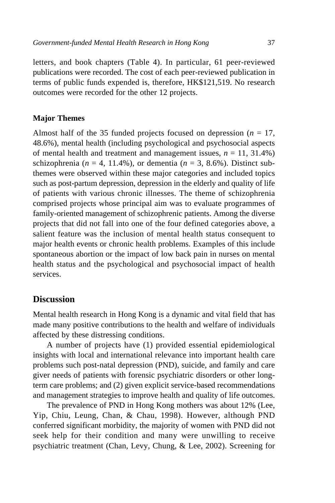letters, and book chapters (Table 4). In particular, 61 peer-reviewed publications were recorded. The cost of each peer-reviewed publication in terms of public funds expended is, therefore, HK\$121,519. No research outcomes were recorded for the other 12 projects.

#### **Major Themes**

Almost half of the 35 funded projects focused on depression  $(n = 17)$ , 48.6%), mental health (including psychological and psychosocial aspects of mental health and treatment and management issues,  $n = 11, 31.4\%$ ) schizophrenia ( $n = 4$ , 11.4%), or dementia ( $n = 3$ , 8.6%). Distinct subthemes were observed within these major categories and included topics such as post-partum depression, depression in the elderly and quality of life of patients with various chronic illnesses. The theme of schizophrenia comprised projects whose principal aim was to evaluate programmes of family-oriented management of schizophrenic patients. Among the diverse projects that did not fall into one of the four defined categories above, a salient feature was the inclusion of mental health status consequent to major health events or chronic health problems. Examples of this include spontaneous abortion or the impact of low back pain in nurses on mental health status and the psychological and psychosocial impact of health services.

# **Discussion**

Mental health research in Hong Kong is a dynamic and vital field that has made many positive contributions to the health and welfare of individuals affected by these distressing conditions.

A number of projects have (1) provided essential epidemiological insights with local and international relevance into important health care problems such post-natal depression (PND), suicide, and family and care giver needs of patients with forensic psychiatric disorders or other longterm care problems; and (2) given explicit service-based recommendations and management strategies to improve health and quality of life outcomes.

The prevalence of PND in Hong Kong mothers was about 12% (Lee, Yip, Chiu, Leung, Chan, & Chau, 1998). However, although PND conferred significant morbidity, the majority of women with PND did not seek help for their condition and many were unwilling to receive psychiatric treatment (Chan, Levy, Chung, & Lee, 2002). Screening for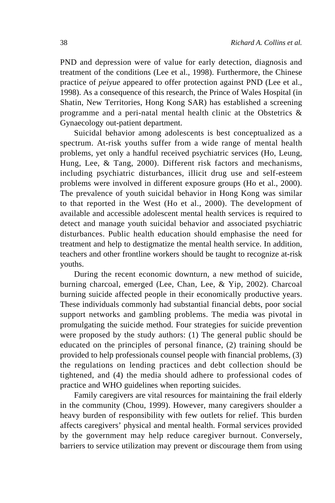PND and depression were of value for early detection, diagnosis and treatment of the conditions (Lee et al., 1998). Furthermore, the Chinese practice of *peiyue* appeared to offer protection against PND (Lee et al., 1998). As a consequence of this research, the Prince of Wales Hospital (in Shatin, New Territories, Hong Kong SAR) has established a screening programme and a peri-natal mental health clinic at the Obstetrics  $\&$ Gynaecology out-patient department.

Suicidal behavior among adolescents is best conceptualized as a spectrum. At-risk youths suffer from a wide range of mental health problems, yet only a handful received psychiatric services (Ho, Leung, Hung, Lee, & Tang, 2000). Different risk factors and mechanisms, including psychiatric disturbances, illicit drug use and self-esteem problems were involved in different exposure groups (Ho et al., 2000). The prevalence of youth suicidal behavior in Hong Kong was similar to that reported in the West (Ho et al., 2000). The development of available and accessible adolescent mental health services is required to detect and manage youth suicidal behavior and associated psychiatric disturbances. Public health education should emphasise the need for treatment and help to destigmatize the mental health service. In addition, teachers and other frontline workers should be taught to recognize at-risk youths.

During the recent economic downturn, a new method of suicide, burning charcoal, emerged (Lee, Chan, Lee, & Yip, 2002). Charcoal burning suicide affected people in their economically productive years. These individuals commonly had substantial financial debts, poor social support networks and gambling problems. The media was pivotal in promulgating the suicide method. Four strategies for suicide prevention were proposed by the study authors: (1) The general public should be educated on the principles of personal finance, (2) training should be provided to help professionals counsel people with financial problems, (3) the regulations on lending practices and debt collection should be tightened, and (4) the media should adhere to professional codes of practice and WHO guidelines when reporting suicides.

Family caregivers are vital resources for maintaining the frail elderly in the community (Chou, 1999). However, many caregivers shoulder a heavy burden of responsibility with few outlets for relief. This burden affects caregivers' physical and mental health. Formal services provided by the government may help reduce caregiver burnout. Conversely, barriers to service utilization may prevent or discourage them from using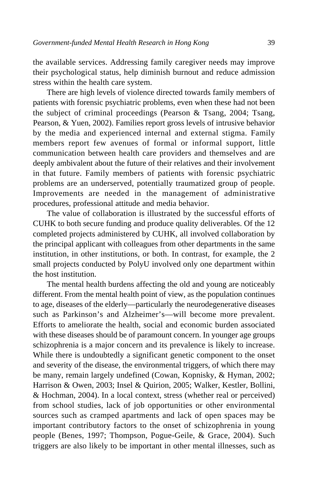the available services. Addressing family caregiver needs may improve their psychological status, help diminish burnout and reduce admission stress within the health care system.

There are high levels of violence directed towards family members of patients with forensic psychiatric problems, even when these had not been the subject of criminal proceedings (Pearson & Tsang, 2004; Tsang, Pearson, & Yuen, 2002). Families report gross levels of intrusive behavior by the media and experienced internal and external stigma. Family members report few avenues of formal or informal support, little communication between health care providers and themselves and are deeply ambivalent about the future of their relatives and their involvement in that future. Family members of patients with forensic psychiatric problems are an underserved, potentially traumatized group of people. Improvements are needed in the management of administrative procedures, professional attitude and media behavior.

The value of collaboration is illustrated by the successful efforts of CUHK to both secure funding and produce quality deliverables. Of the 12 completed projects administered by CUHK, all involved collaboration by the principal applicant with colleagues from other departments in the same institution, in other institutions, or both. In contrast, for example, the 2 small projects conducted by PolyU involved only one department within the host institution.

The mental health burdens affecting the old and young are noticeably different. From the mental health point of view, as the population continues to age, diseases of the elderly—particularly the neurodegenerative diseases such as Parkinson's and Alzheimer's—will become more prevalent. Efforts to ameliorate the health, social and economic burden associated with these diseases should be of paramount concern. In younger age groups schizophrenia is a major concern and its prevalence is likely to increase. While there is undoubtedly a significant genetic component to the onset and severity of the disease, the environmental triggers, of which there may be many, remain largely undefined (Cowan, Kopnisky, & Hyman, 2002; Harrison & Owen, 2003; Insel & Quirion, 2005; Walker, Kestler, Bollini, & Hochman, 2004). In a local context, stress (whether real or perceived) from school studies, lack of job opportunities or other environmental sources such as cramped apartments and lack of open spaces may be important contributory factors to the onset of schizophrenia in young people (Benes, 1997; Thompson, Pogue-Geile, & Grace, 2004). Such triggers are also likely to be important in other mental illnesses, such as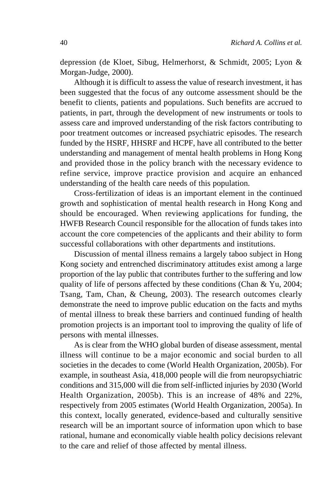depression (de Kloet, Sibug, Helmerhorst, & Schmidt, 2005; Lyon & Morgan-Judge, 2000).

Although it is difficult to assess the value of research investment, it has been suggested that the focus of any outcome assessment should be the benefit to clients, patients and populations. Such benefits are accrued to patients, in part, through the development of new instruments or tools to assess care and improved understanding of the risk factors contributing to poor treatment outcomes or increased psychiatric episodes. The research funded by the HSRF, HHSRF and HCPF, have all contributed to the better understanding and management of mental health problems in Hong Kong and provided those in the policy branch with the necessary evidence to refine service, improve practice provision and acquire an enhanced understanding of the health care needs of this population.

Cross-fertilization of ideas is an important element in the continued growth and sophistication of mental health research in Hong Kong and should be encouraged. When reviewing applications for funding, the HWFB Research Council responsible for the allocation of funds takes into account the core competencies of the applicants and their ability to form successful collaborations with other departments and institutions.

Discussion of mental illness remains a largely taboo subject in Hong Kong society and entrenched discriminatory attitudes exist among a large proportion of the lay public that contributes further to the suffering and low quality of life of persons affected by these conditions (Chan & Yu, 2004; Tsang, Tam, Chan, & Cheung, 2003). The research outcomes clearly demonstrate the need to improve public education on the facts and myths of mental illness to break these barriers and continued funding of health promotion projects is an important tool to improving the quality of life of persons with mental illnesses.

As is clear from the WHO global burden of disease assessment, mental illness will continue to be a major economic and social burden to all societies in the decades to come (World Health Organization, 2005b). For example, in southeast Asia, 418,000 people will die from neuropsychiatric conditions and 315,000 will die from self-inflicted injuries by 2030 (World Health Organization, 2005b). This is an increase of 48% and 22%, respectively from 2005 estimates (World Health Organization, 2005a). In this context, locally generated, evidence-based and culturally sensitive research will be an important source of information upon which to base rational, humane and economically viable health policy decisions relevant to the care and relief of those affected by mental illness.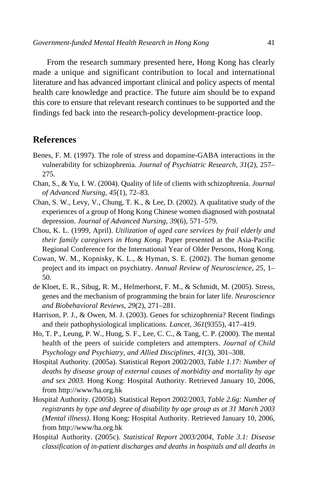From the research summary presented here, Hong Kong has clearly made a unique and significant contribution to local and international literature and has advanced important clinical and policy aspects of mental health care knowledge and practice. The future aim should be to expand this core to ensure that relevant research continues to be supported and the findings fed back into the research-policy development-practice loop.

## **References**

- Benes, F. M. (1997). The role of stress and dopamine-GABA interactions in the vulnerability for schizophrenia. *Journal of Psychiatric Research, 31*(2), 257– 275.
- Chan, S., & Yu, I. W. (2004). Quality of life of clients with schizophrenia. *Journal of Advanced Nursing, 45*(1), 72–83.
- Chan, S. W., Levy, V., Chung, T. K., & Lee, D. (2002). A qualitative study of the experiences of a group of Hong Kong Chinese women diagnosed with postnatal depression. *Journal of Advanced Nursing, 39*(6), 571–579.
- Chou, K. L. (1999, April). *Utilization of aged care services by frail elderly and their family caregivers in Hong Kong.* Paper presented at the Asia-Pacific Regional Conference for the International Year of Older Persons, Hong Kong.
- Cowan, W. M., Kopnisky, K. L., & Hyman, S. E. (2002). The human genome project and its impact on psychiatry. *Annual Review of Neuroscience, 25*, 1– 50.
- de Kloet, E. R., Sibug, R. M., Helmerhorst, F. M., & Schmidt, M. (2005). Stress, genes and the mechanism of programming the brain for later life. *Neuroscience and Biobehavioral Reviews, 29*(2), 271–281.
- Harrison, P. J., & Owen, M. J. (2003). Genes for schizophrenia? Recent findings and their pathophysiological implications. *Lancet, 361*(9355), 417–419.
- Ho, T. P., Leung, P. W., Hung, S. F., Lee, C. C., & Tang, C. P. (2000). The mental health of the peers of suicide completers and attempters. *Journal of Child Psychology and Psychiatry, and Allied Disciplines, 41*(3), 301–308.
- Hospital Authority. (2005a). Statistical Report 2002/2003, *Table 1.17: Number of deaths by disease group of external causes of morbidity and mortality by age and sex 2003.* Hong Kong: Hospital Authority. Retrieved January 10, 2006, from http://www/ha.org.hk
- Hospital Authority. (2005b). Statistical Report 2002/2003, *Table 2.6g: Number of registrants by type and degree of disability by age group as at 31 March 2003 (Mental illness)*. Hong Kong: Hospital Authority. Retrieved January 10, 2006, from http://www/ha.org.hk
- Hospital Authority. (2005c). *Statistical Report 2003/2004*, *Table 3.1: Disease classification of in-patient discharges and deaths in hospitals and all deaths in*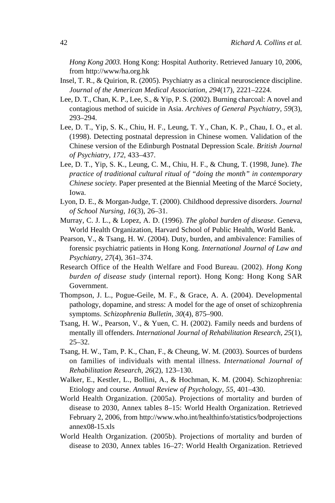*Hong Kong 2003.* Hong Kong: Hospital Authority. Retrieved January 10, 2006, from http://www/ha.org.hk

- Insel, T. R., & Quirion, R. (2005). Psychiatry as a clinical neuroscience discipline. *Journal of the American Medical Association, 294*(17), 2221–2224.
- Lee, D. T., Chan, K. P., Lee, S., & Yip, P. S. (2002). Burning charcoal: A novel and contagious method of suicide in Asia. *Archives of General Psychiatry, 59*(3), 293–294.
- Lee, D. T., Yip, S. K., Chiu, H. F., Leung, T. Y., Chan, K. P., Chau, I. O., et al. (1998). Detecting postnatal depression in Chinese women. Validation of the Chinese version of the Edinburgh Postnatal Depression Scale. *British Journal of Psychiatry, 172*, 433–437.
- Lee, D. T., Yip, S. K., Leung, C. M., Chiu, H. F., & Chung, T. (1998, June). *The practice of traditional cultural ritual of "doing the month" in contemporary Chinese society.* Paper presented at the Biennial Meeting of the Marcé Society, Iowa.
- Lyon, D. E., & Morgan-Judge, T. (2000). Childhood depressive disorders. *Journal of School Nursing, 16*(3), 26–31.
- Murray, C. J. L., & Lopez, A. D. (1996). *The global burden of disease*. Geneva, World Health Organization, Harvard School of Public Health, World Bank.
- Pearson, V., & Tsang, H. W. (2004). Duty, burden, and ambivalence: Families of forensic psychiatric patients in Hong Kong. *International Journal of Law and Psychiatry*, *27*(4), 361–374.
- Research Office of the Health Welfare and Food Bureau. (2002). *Hong Kong burden of disease study* (internal report). Hong Kong: Hong Kong SAR Government.
- Thompson, J. L., Pogue-Geile, M. F., & Grace, A. A. (2004). Developmental pathology, dopamine, and stress: A model for the age of onset of schizophrenia symptoms. *Schizophrenia Bulletin, 30*(4), 875–900.
- Tsang, H. W., Pearson, V., & Yuen, C. H. (2002). Family needs and burdens of mentally ill offenders. *International Journal of Rehabilitation Research, 25*(1), 25–32.
- Tsang, H. W., Tam, P. K., Chan, F., & Cheung, W. M. (2003). Sources of burdens on families of individuals with mental illness. *International Journal of Rehabilitation Research, 26*(2), 123–130.
- Walker, E., Kestler, L., Bollini, A., & Hochman, K. M. (2004). Schizophrenia: Etiology and course. *Annual Review of Psychology, 55*, 401–430.
- World Health Organization. (2005a). Projections of mortality and burden of disease to 2030, Annex tables 8–15: World Health Organization. Retrieved February 2, 2006, from http://www.who.int/healthinfo/statistics/bodprojections annex08-15.xls
- World Health Organization. (2005b). Projections of mortality and burden of disease to 2030, Annex tables 16–27: World Health Organization. Retrieved